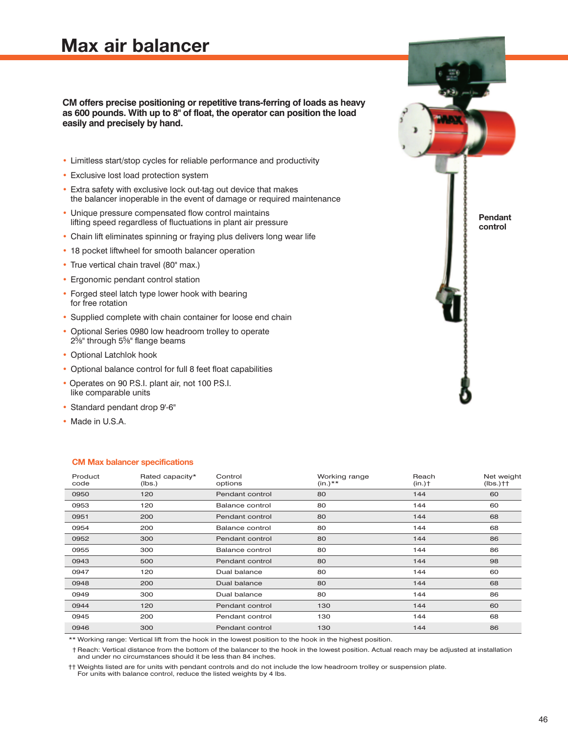# **Max air balancer**

#### **CM offers precise positioning or repetitive trans-ferring of loads as heavy as 600 pounds. With up to 8" of float, the operator can position the load easily and precisely by hand.**

- Limitless start/stop cycles for reliable performance and productivity
- Exclusive lost load protection system
- Extra safety with exclusive lock out-tag out device that makes the balancer inoperable in the event of damage or required maintenance
- Unique pressure compensated flow control maintains lifting speed regardless of fluctuations in plant air pressure
- Chain lift eliminates spinning or fraying plus delivers long wear life
- 18 pocket liftwheel for smooth balancer operation
- True vertical chain travel (80" max.)
- Ergonomic pendant control station
- Forged steel latch type lower hook with bearing for free rotation
- Supplied complete with chain container for loose end chain
- Optional Series 0980 low headroom trolley to operate 25 ⁄8" through 55 ⁄8" flange beams
- Optional Latchlok hook
- Optional balance control for full 8 feet float capabilities
- Operates on 90 P.S.I. plant air, not 100 P.S.I. like comparable units
- Standard pendant drop 9'-6"
- Made in U.S.A.

#### **CM Max balancer specifications**

| Product<br>code | Rated capacity*<br>(lbs.) | Control<br>options | Working range<br>$(in.)**$ | Reach<br>$(in.)\uparrow$ | Net weight<br>$(lbs.)$ †† |
|-----------------|---------------------------|--------------------|----------------------------|--------------------------|---------------------------|
| 0950            | 120                       | Pendant control    | 80                         | 144                      | 60                        |
| 0953            | 120                       | Balance control    | 80                         | 144                      | 60                        |
| 0951            | 200                       | Pendant control    | 80                         | 144                      | 68                        |
| 0954            | 200                       | Balance control    | 80                         | 144                      | 68                        |
| 0952            | 300                       | Pendant control    | 80                         | 144                      | 86                        |
| 0955            | 300                       | Balance control    | 80                         | 144                      | 86                        |
| 0943            | 500                       | Pendant control    | 80                         | 144                      | 98                        |
| 0947            | 120                       | Dual balance       | 80                         | 144                      | 60                        |
| 0948            | 200                       | Dual balance       | 80                         | 144                      | 68                        |
| 0949            | 300                       | Dual balance       | 80                         | 144                      | 86                        |
| 0944            | 120                       | Pendant control    | 130                        | 144                      | 60                        |
| 0945            | 200                       | Pendant control    | 130                        | 144                      | 68                        |
| 0946            | 300                       | Pendant control    | 130                        | 144                      | 86                        |

\*\* Working range: Vertical lift from the hook in the lowest position to the hook in the highest position.

† Reach: Vertical distance from the bottom of the balancer to the hook in the lowest position. Actual reach may be adjusted at installation and under no circumstances should it be less than 84 inches.

†† Weights listed are for units with pendant controls and do not include the low headroom trolley or suspension plate.

For units with balance control, reduce the listed weights by 4 lbs.

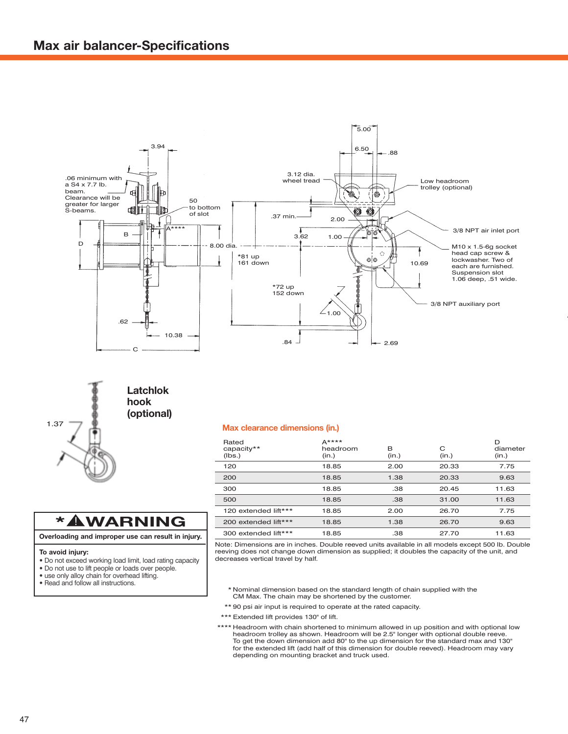



### **Latchlok hook (optional)**

| Rated<br>capacity**<br>(lbs.) | $A***$<br>headroom<br>(in.) | в<br>(in.) | С<br>(in.) | D<br>diameter<br>(in.) |
|-------------------------------|-----------------------------|------------|------------|------------------------|
| 120                           | 18.85                       | 2.00       | 20.33      | 7.75                   |
| 200                           | 18.85                       | 1.38       | 20.33      | 9.63                   |
| 300                           | 18.85                       | .38        | 20.45      | 11.63                  |
| 500                           | 18.85                       | .38        | 31.00      | 11.63                  |
| 120 extended lift***          | 18.85                       | 2.00       | 26.70      | 7.75                   |
| 200 extended lift***          | 18.85                       | 1.38       | 26.70      | 9.63                   |
| 300 extended lift***          | 18.85                       | .38        | 27.70      | 11.63                  |

Note: Dimensions are in inches. Double reeved units available in all models except 500 lb. Double reeving does not change down dimension as supplied; it doubles the capacity of the unit, and decreases vertical travel by half.

- \* Nominal dimension based on the standard length of chain supplied with the CM Max. The chain may be shortened by the customer.
- \*\* 90 psi air input is required to operate at the rated capacity.
- \*\*\* Extended lift provides 130" of lift.
- \*\*\*\* Headroom with chain shortened to minimum allowed in up position and with optional low headroom trolley as shown. Headroom will be 2.5" longer with optional double reeve. To get the down dimension add 80" to the up dimension for the standard max and 130" for the extended lift (add half of this dimension for double reeved). Headroom may vary depending on mounting bracket and truck used.

### **\* WARNING**

#### **Overloading and improper use can result in injury.**

#### **To avoid injury:**

- Do not exceed working load limit, load rating capacity
- Do not use to lift people or loads over people.
- use only alloy chain for overhead lifting.

#### **•** Read and follow all instructions.